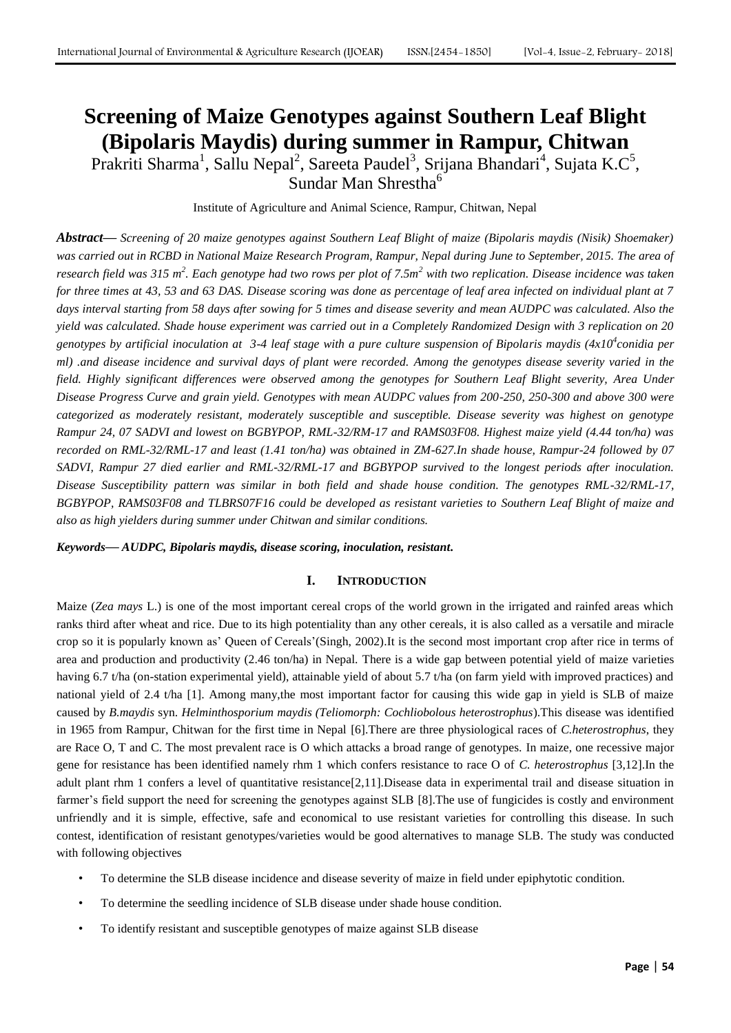# **Screening of Maize Genotypes against Southern Leaf Blight (Bipolaris Maydis) during summer in Rampur, Chitwan**

Prakriti Sharma<sup>1</sup>, Sallu Nepal<sup>2</sup>, Sareeta Paudel<sup>3</sup>, Srijana Bhandari<sup>4</sup>, Sujata K.C<sup>5</sup>, Sundar Man Shrestha<sup>6</sup>

Institute of Agriculture and Animal Science, Rampur, Chitwan, Nepal

*Abstract***—** *Screening of 20 maize genotypes against Southern Leaf Blight of maize (Bipolaris maydis (Nisik) Shoemaker) was carried out in RCBD in National Maize Research Program, Rampur, Nepal during June to September, 2015. The area of research field was 315 m<sup>2</sup> . Each genotype had two rows per plot of 7.5m<sup>2</sup> with two replication. Disease incidence was taken for three times at 43, 53 and 63 DAS. Disease scoring was done as percentage of leaf area infected on individual plant at 7 days interval starting from 58 days after sowing for 5 times and disease severity and mean AUDPC was calculated. Also the yield was calculated. Shade house experiment was carried out in a Completely Randomized Design with 3 replication on 20 genotypes by artificial inoculation at 3-4 leaf stage with a pure culture suspension of Bipolaris maydis (4x10<sup>4</sup> conidia per ml) .and disease incidence and survival days of plant were recorded. Among the genotypes disease severity varied in the field. Highly significant differences were observed among the genotypes for Southern Leaf Blight severity, Area Under Disease Progress Curve and grain yield. Genotypes with mean AUDPC values from 200-250, 250-300 and above 300 were categorized as moderately resistant, moderately susceptible and susceptible. Disease severity was highest on genotype Rampur 24, 07 SADVI and lowest on BGBYPOP, RML-32/RM-17 and RAMS03F08. Highest maize yield (4.44 ton/ha) was recorded on RML-32/RML-17 and least (1.41 ton/ha) was obtained in ZM-627.In shade house, Rampur-24 followed by 07 SADVI, Rampur 27 died earlier and RML-32/RML-17 and BGBYPOP survived to the longest periods after inoculation. Disease Susceptibility pattern was similar in both field and shade house condition. The genotypes RML-32/RML-17, BGBYPOP, RAMS03F08 and TLBRS07F16 could be developed as resistant varieties to Southern Leaf Blight of maize and also as high yielders during summer under Chitwan and similar conditions.*

*Keywords***—** *AUDPC, Bipolaris maydis, disease scoring, inoculation, resistant.*

## **I. INTRODUCTION**

Maize (*Zea mays* L.) is one of the most important cereal crops of the world grown in the irrigated and rainfed areas which ranks third after wheat and rice. Due to its high potentiality than any other cereals, it is also called as a versatile and miracle crop so it is popularly known as' Queen of Cereals'(Singh, 2002).It is the second most important crop after rice in terms of area and production and productivity (2.46 ton/ha) in Nepal. There is a wide gap between potential yield of maize varieties having 6.7 t/ha (on-station experimental yield), attainable yield of about 5.7 t/ha (on farm yield with improved practices) and national yield of 2.4 t/ha [1]. Among many,the most important factor for causing this wide gap in yield is SLB of maize caused by *B.maydis* syn. *Helminthosporium maydis (Teliomorph: Cochliobolous heterostrophus*).This disease was identified in 1965 from Rampur, Chitwan for the first time in Nepal [6].There are three physiological races of *C.heterostrophus*, they are Race O, T and C. The most prevalent race is O which attacks a broad range of genotypes. In maize, one recessive major gene for resistance has been identified namely rhm 1 which confers resistance to race O of *C. heterostrophus* [3,12].In the adult plant rhm 1 confers a level of quantitative resistance[2,11].Disease data in experimental trail and disease situation in farmer's field support the need for screening the genotypes against SLB [8].The use of fungicides is costly and environment unfriendly and it is simple, effective, safe and economical to use resistant varieties for controlling this disease. In such contest, identification of resistant genotypes/varieties would be good alternatives to manage SLB. The study was conducted with following objectives

- To determine the SLB disease incidence and disease severity of maize in field under epiphytotic condition.
- To determine the seedling incidence of SLB disease under shade house condition.
- To identify resistant and susceptible genotypes of maize against SLB disease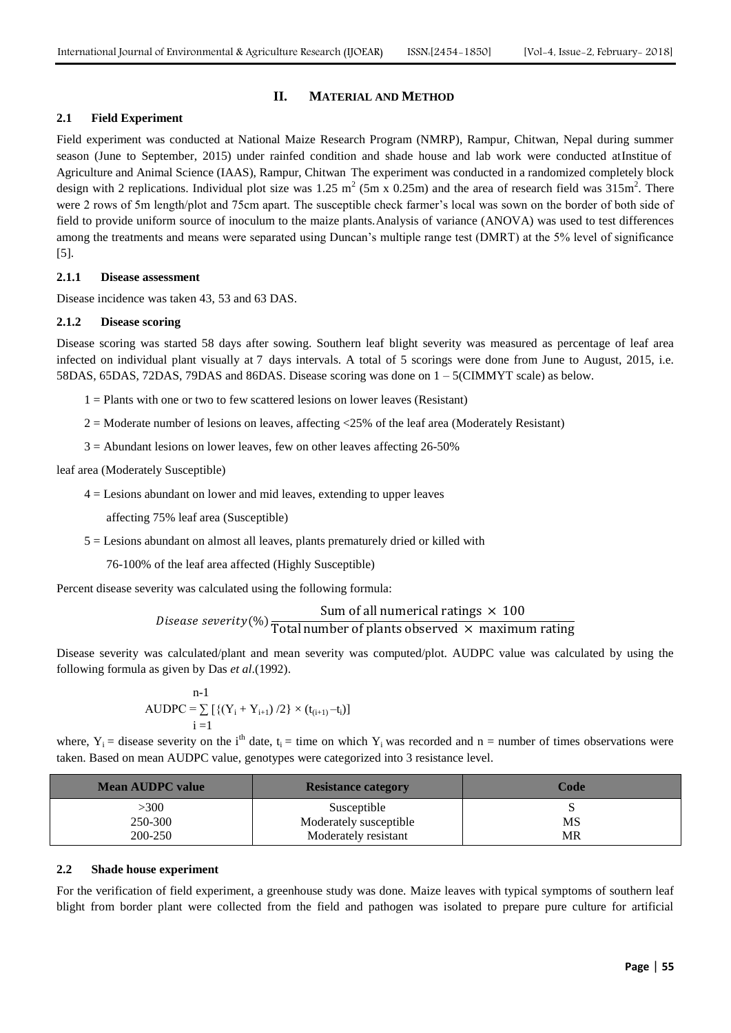### **II. MATERIAL AND METHOD**

## **2.1 Field Experiment**

Field experiment was conducted at National Maize Research Program (NMRP), Rampur, Chitwan, Nepal during summer season (June to September, 2015) under rainfed condition and shade house and lab work were conducted atInstitue of Agriculture and Animal Science (IAAS), Rampur, Chitwan The experiment was conducted in a randomized completely block design with 2 replications. Individual plot size was 1.25 m<sup>2</sup> (5m x 0.25m) and the area of research field was  $315m^2$ . There were 2 rows of 5m length/plot and 75cm apart. The susceptible check farmer's local was sown on the border of both side of field to provide uniform source of inoculum to the maize plants.Analysis of variance (ANOVA) was used to test differences among the treatments and means were separated using Duncan's multiple range test (DMRT) at the 5% level of significance [5].

#### **2.1.1 Disease assessment**

Disease incidence was taken 43, 53 and 63 DAS.

#### **2.1.2 Disease scoring**

Disease scoring was started 58 days after sowing. Southern leaf blight severity was measured as percentage of leaf area infected on individual plant visually at 7 days intervals. A total of 5 scorings were done from June to August, 2015, i.e. 58DAS, 65DAS, 72DAS, 79DAS and 86DAS. Disease scoring was done on 1 – 5(CIMMYT scale) as below.

 $1 =$  Plants with one or two to few scattered lesions on lower leaves (Resistant)

- $2 =$  Moderate number of lesions on leaves, affecting  $\langle 25\%$  of the leaf area (Moderately Resistant)
- $3 =$  Abundant lesions on lower leaves, few on other leaves affecting 26-50%

leaf area (Moderately Susceptible)

 $4 =$  Lesions abundant on lower and mid leaves, extending to upper leaves

affecting 75% leaf area (Susceptible)

5 = Lesions abundant on almost all leaves, plants prematurely dried or killed with

76-100% of the leaf area affected (Highly Susceptible)

Percent disease severity was calculated using the following formula:

## $\frac{Sum \space of \space all \space numerical \space ratings \space \times \space 100}{\text{Disease \space severity}}$ Total number of plants observed  $\times$  maximum rating

Disease severity was calculated/plant and mean severity was computed/plot. AUDPC value was calculated by using the following formula as given by Das *et al*.(1992).

$$
\begin{matrix} \text{n-1} \\ \text{AUDPC} = \sum\limits_{i=1}^{n-1}\left[ \left\{ \left( Y_i + Y_{i+1} \right) / 2 \right\} \times (t_{(i+1)} - t_i) \right] \right. \\ \end{matrix}
$$

where,  $Y_i$  = disease severity on the i<sup>th</sup> date, t<sub>i</sub> = time on which  $Y_i$  was recorded and n = number of times observations were taken. Based on mean AUDPC value, genotypes were categorized into 3 resistance level.

| <b>Mean AUDPC value</b> | <b>Resistance category</b> | Code |  |
|-------------------------|----------------------------|------|--|
| >300                    | Susceptible                |      |  |
| 250-300                 | Moderately susceptible     | MS   |  |
| 200-250                 | Moderately resistant       | MR   |  |

#### **2.2 Shade house experiment**

For the verification of field experiment, a greenhouse study was done. Maize leaves with typical symptoms of southern leaf blight from border plant were collected from the field and pathogen was isolated to prepare pure culture for artificial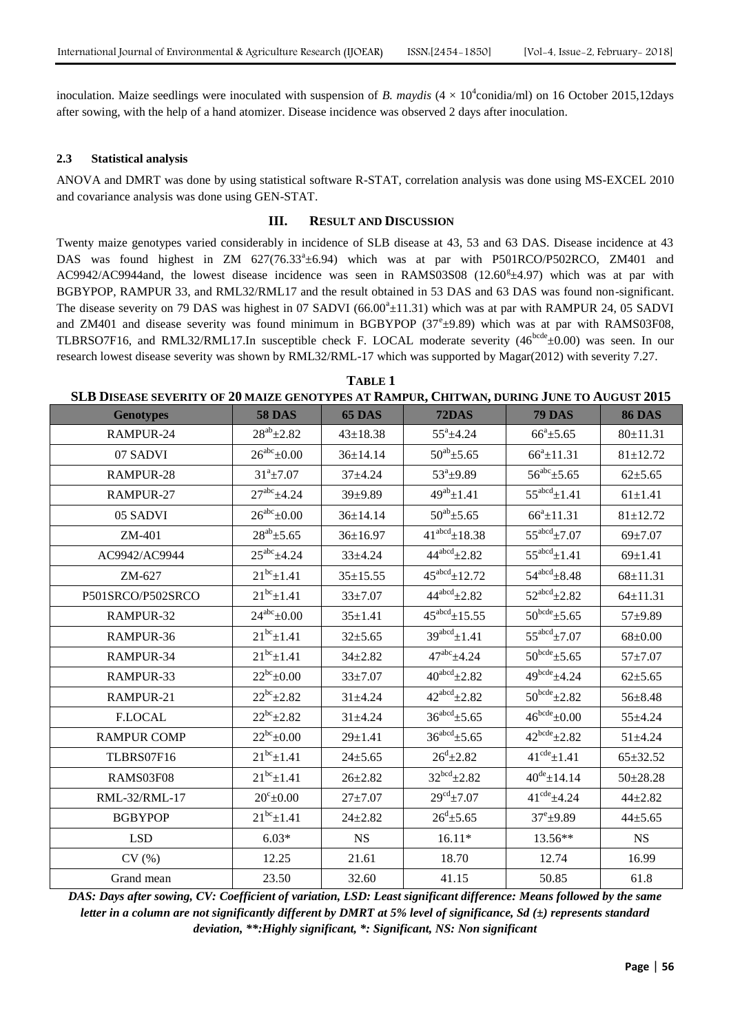inoculation. Maize seedlings were inoculated with suspension of *B. maydis*  $(4 \times 10^4$ conidia/ml) on 16 October 2015,12days after sowing, with the help of a hand atomizer. Disease incidence was observed 2 days after inoculation.

#### **2.3 Statistical analysis**

ANOVA and DMRT was done by using statistical software R-STAT, correlation analysis was done using MS-EXCEL 2010 and covariance analysis was done using GEN-STAT.

## **III. RESULT AND DISCUSSION**

Twenty maize genotypes varied considerably in incidence of SLB disease at 43, 53 and 63 DAS. Disease incidence at 43 DAS was found highest in ZM 627(76.33<sup>a</sup>±6.94) which was at par with P501RCO/P502RCO, ZM401 and AC9942/AC9944and, the lowest disease incidence was seen in RAMS03S08 (12.60<sup>g</sup>±4.97) which was at par with BGBYPOP, RAMPUR 33, and RML32/RML17 and the result obtained in 53 DAS and 63 DAS was found non-significant. The disease severity on 79 DAS was highest in 07 SADVI ( $66.00^a \pm 11.31$ ) which was at par with RAMPUR 24, 05 SADVI and ZM401 and disease severity was found minimum in BGBYPOP  $(37<sup>e</sup> \pm 9.89)$  which was at par with RAMS03F08, TLBRSO7F16, and RML32/RML17.In susceptible check F. LOCAL moderate severity  $(46^{bcde} \pm 0.00)$  was seen. In our research lowest disease severity was shown by RML32/RML-17 which was supported by Magar(2012) with severity 7.27.

**TABLE 1 SLB DISEASE SEVERITY OF 20 MAIZE GENOTYPES AT RAMPUR, CHITWAN, DURING JUNE TO AUGUST 2015**

| <u>DED DISERSE SEVERITT OF JO MAILE GENOTTI ES AT RAMI UR; CIIII WAN; DURING OUNE TO AUGUST A</u> |                       |                |                           |                            |                |
|---------------------------------------------------------------------------------------------------|-----------------------|----------------|---------------------------|----------------------------|----------------|
| <b>Genotypes</b>                                                                                  | <b>58 DAS</b>         | 65 DAS         | <b>72DAS</b>              | <b>79 DAS</b>              | <b>86 DAS</b>  |
| RAMPUR-24                                                                                         | $28^{ab}$ ± 2.82      | $43 \pm 18.38$ | $55^{\circ}$ ±4.24        | $66^{\circ}$ ±5.65         | 80±11.31       |
| 07 SADVI                                                                                          | $26^{abc} \pm 0.00$   | $36 \pm 14.14$ | $50^{ab}$ ± 5.65          | $66^a \pm 11.31$           | $81 \pm 12.72$ |
| RAMPUR-28                                                                                         | $31^a \pm 7.07$       | $37 + 4.24$    | $53^a \pm 9.89$           | $56^{abc}$ ± 5.65          | $62{\pm}5.65$  |
| RAMPUR-27                                                                                         | $27^{abc}$ $\pm 4.24$ | 39±9.89        | $49^{ab}$ ± 1.41          | $55^{abcd}$ $\pm$ 1.41     | $61 \pm 1.41$  |
| 05 SADVI                                                                                          | $26^{abc}$ ±0.00      | $36 \pm 14.14$ | $50^{ab}$ ±5.65           | $66^a \pm 11.31$           | $81 \pm 12.72$ |
| ZM-401                                                                                            | $28^{ab} \pm 5.65$    | $36 \pm 16.97$ | $41^{abcd}$ ± 18.38       | $55^{\text{abcd}}\pm7.07$  | $69 + 7.07$    |
| AC9942/AC9944                                                                                     | $25^{abc}$ ±4.24      | $33 + 4.24$    | $44^{abcd}$ $\pm 2.82$    | $55^{abcd}$ ±1.41          | $69 \pm 1.41$  |
| ZM-627                                                                                            | $21^{bc}$ ± 1.41      | $35 \pm 15.55$ | $45^{abcd}$ ± 12.72       | $54^{abcd}$ $\pm 8.48$     | $68 \pm 11.31$ |
| P501SRCO/P502SRCO                                                                                 | $21^{bc}$ ±1.41       | $33 + 7.07$    | $44^{abcd}$ $\pm 2.82$    | $52^{abcd}$ $\pm 2.82$     | $64 \pm 11.31$ |
| RAMPUR-32                                                                                         | $24^{abc} \pm 0.00$   | $35 \pm 1.41$  | $45^{abcd}$ ±15.55        | $50^{bcde}$ ±5.65          | $57 + 9.89$    |
| RAMPUR-36                                                                                         | $21^{bc}$ ± 1.41      | $32 \pm 5.65$  | $39^{abcd}$ $\pm$ 1.41    | $55^{\text{abcd}}\pm7.07$  | $68 \pm 0.00$  |
| RAMPUR-34                                                                                         | $21^{bc}$ ± 1.41      | $34 \pm 2.82$  | $47^{abc}$ ±4.24          | $50^{bcde}$ ±5.65          | $57 + 7.07$    |
| RAMPUR-33                                                                                         | $22^{bc} \pm 0.00$    | $33 + 7.07$    | $40^{abcd}$ $\pm 2.82$    | $49^{bcde} \pm 4.24$       | $62{\pm}5.65$  |
| RAMPUR-21                                                                                         | $22^{bc}$ ± 2.82      | $31 + 4.24$    | $42^{abcd}$ $\pm 2.82$    | $50^{bcde}$ ±2.82          | $56 \pm 8.48$  |
| <b>F.LOCAL</b>                                                                                    | $22^{bc}$ ± 2.82      | $31 \pm 4.24$  | $36^{abcd}$ $\pm 5.65$    | $46^{\text{bcde}}\pm0.00$  | 55±4.24        |
| <b>RAMPUR COMP</b>                                                                                | $22^{bc} \pm 0.00$    | $29 + 1.41$    | $36^{abcd}$ $\pm 5.65$    | $42^{bcde} \pm 2.82$       | $51 + 4.24$    |
| TLBRS07F16                                                                                        | $21^{bc}$ ± 1.41      | $24 \pm 5.65$  | $26^{\rm d}$ ± 2.82       | $41^{\text{cde}} \pm 1.41$ | $65 \pm 32.52$ |
| RAMS03F08                                                                                         | $21^{bc}$ ± 1.41      | $26 \pm 2.82$  | $32^{bcd} \pm 2.82$       | $40^{de} \pm 14.14$        | $50 \pm 28.28$ |
| RML-32/RML-17                                                                                     | $20^{\circ}$ ±0.00    | $27 + 7.07$    | $29^{\text{cd}} \pm 7.07$ | $41^{\text{cde}} \pm 4.24$ | $44 + 2.82$    |
| <b>BGBYPOP</b>                                                                                    | $21^{bc}$ ± 1.41      | $24 \pm 2.82$  | $26^{\rm d}$ ±5.65        | $37^{\rm e}$ ±9.89         | $44 + 5.65$    |
| <b>LSD</b>                                                                                        | $6.03*$               | <b>NS</b>      | $16.11*$                  | 13.56**                    | <b>NS</b>      |
| CV(%)                                                                                             | 12.25                 | 21.61          | 18.70                     | 12.74                      | 16.99          |
| Grand mean                                                                                        | 23.50                 | 32.60          | 41.15                     | 50.85                      | 61.8           |

*DAS: Days after sowing, CV: Coefficient of variation, LSD: Least significant difference: Means followed by the same letter in a column are not significantly different by DMRT at 5% level of significance, Sd (±) represents standard deviation, \*\*:Highly significant, \*: Significant, NS: Non significant*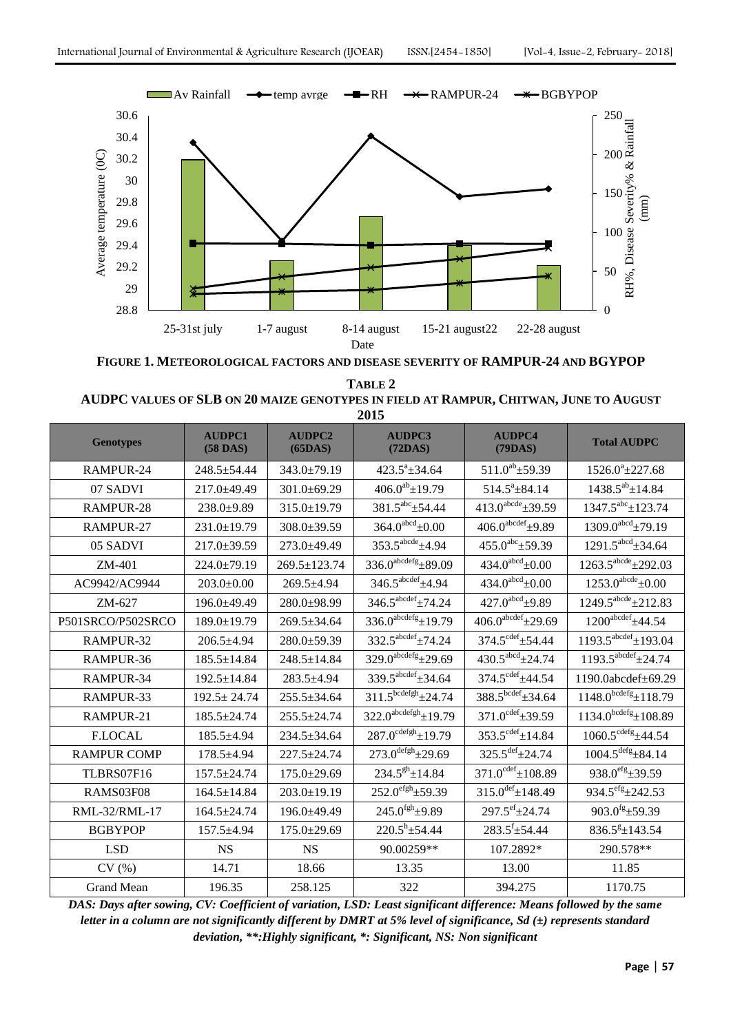

**FIGURE 1. METEOROLOGICAL FACTORS AND DISEASE SEVERITY OF RAMPUR-24 AND BGYPOP**

**TABLE 2 AUDPC VALUES OF SLB ON 20 MAIZE GENOTYPES IN FIELD AT RAMPUR, CHITWAN, JUNE TO AUGUST 2015**

| <b>Genotypes</b>   | <b>AUDPC1</b><br>$(58$ DAS) | <b>AUDPC2</b><br>(65DAS) | <b>AUDPC3</b><br>(72DAS)            | <b>AUDPC4</b><br>(79DAS)            | <b>Total AUDPC</b>                   |
|--------------------|-----------------------------|--------------------------|-------------------------------------|-------------------------------------|--------------------------------------|
| RAMPUR-24          | $248.5 \pm 54.44$           | $343.0 \pm 79.19$        | $423.5^a \pm 34.64$                 | $511.0^{ab}$ ± 59.39                | $1526.0^a \pm 227.68$                |
| 07 SADVI           | 217.0±49.49                 | 301.0±69.29              | $406.0^{ab} \pm 19.79$              | $514.5^a \pm 84.14$                 | $1438.5^{ab} \pm 14.84$              |
| RAMPUR-28          | 238.0±9.89                  | 315.0±19.79              | $381.5^{abc}$ ± 54.44               | $413.0^{\text{abcde}}\pm 39.59$     | $1347.5^{abc}$ ± 123.74              |
| RAMPUR-27          | 231.0±19.79                 | 308.0±39.59              | $364.0^{\text{abcd}}\pm 0.00$       | $406.0^{\text{abcdef}}$ ±9.89       | $1309.0^{\text{abcd}}$ ±79.19        |
| 05 SADVI           | $217.0 \pm 39.59$           | 273.0±49.49              | $353.5^{\text{abcde}}$ ±4.94        | $455.0^{abc}$ ± 59.39               | $1291.5^{\text{abcd}}\pm34.64$       |
| ZM-401             | 224.0±79.19                 | 269.5±123.74             | $336.0^{abcdefg} \pm 89.09$         | $434.0^{\text{abcd}}\pm 0.00$       | $1263.5^{\text{abcde}}\pm 292.03$    |
| AC9942/AC9944      | $203.0 \pm 0.00$            | 269.5±4.94               | $346.5^{abcdef} \pm 4.94$           | $434.0^{\text{abcd}} \pm 0.00$      | $1253.0^{\text{abcde}} \pm 0.00$     |
| $ZM-627$           | $196.0 + 49.49$             | $280.0+98.99$            | $346.5^{\text{abcdef}}$ ±74.24      | $427.0^{\text{abcd}}$ ±9.89         | $1249.5^{abcde} \pm 212.83$          |
| P501SRCO/P502SRCO  | 189.0±19.79                 | 269.5±34.64              | $336.0^{abcdefg}$ ±19.79            | $406.0^{\text{abcdef}}\pm 29.69$    | $1200^{\text{abcdef}}$ ±44.54        |
| RAMPUR-32          | $206.5 \pm 4.94$            | $280.0 \pm 59.39$        | $332.5^{\text{abcdef}}$ $\pm 74.24$ | $374.5^{\text{cdef}} \pm 54.44$     | $1193.5^{\text{abcdef}}$ ±193.04     |
| RAMPUR-36          | $185.5 \pm 14.84$           | 248.5±14.84              | $329.0^{abcdefg}$ ±29.69            | $430.5^{\text{abcd}}\pm 24.74$      | $1193.5^{\text{abcdef}}$ $\pm 24.74$ |
| RAMPUR-34          | 192.5±14.84                 | 283.5±4.94               | $339.5^{abcdef} \pm 34.64$          | $374.5^{\text{cdef}} \pm 44.54$     | 1190.0abcdef±69.29                   |
| RAMPUR-33          | $192.5 \pm 24.74$           | 255.5±34.64              | $311.5^{bcdefgh} \pm 24.74$         | $388.5^{bcdef} \pm 34.64$           | $1148.0^{bcdefg} \pm 118.79$         |
| RAMPUR-21          | 185.5±24.74                 | 255.5±24.74              | $322.0^{abcdefgh}$ ±19.79           | $371.0^{\text{cdef}} \pm 39.59$     | $1134.0^{bcdefg} \pm 108.89$         |
| <b>F.LOCAL</b>     | 185.5±4.94                  | $234.5 \pm 34.64$        | $287.0^{\text{cdefgh}} \pm 19.79$   | $353.5^{\text{cdef}} \pm 14.84$     | $1060.5^{\text{cdefg}} \pm 44.54$    |
| <b>RAMPUR COMP</b> | $178.5 \pm 4.94$            | 227.5±24.74              | $273.0^{\text{defgh}}\pm 29.69$     | $325.5^{\text{def}} \pm 24.74$      | $1004.5^{\text{defg}}\pm84.14$       |
| TLBRS07F16         | $157.5 \pm 24.74$           | $175.0 \pm 29.69$        | $234.5^{gh}$ ± 14.84                | $371.0^{\text{cdef}} \pm 108.89$    | $938.0^{\text{efg}}\pm 39.59$        |
| RAMS03F08          | $164.5 \pm 14.84$           | $203.0 \pm 19.19$        | $252.0^{\text{efgh}} \pm 59.39$     | $315.0$ <sup>def</sup> $\pm$ 148.49 | $934.5^{\text{efg}}\pm 242.53$       |
| RML-32/RML-17      | $164.5 \pm 24.74$           | 196.0±49.49              | $245.0$ <sup>fgh</sup> $\pm$ 9.89   | $297.5^{\text{ef}}\pm 24.74$        | $903.0$ <sup>fg</sup> $\pm$ 59.39    |
| <b>BGBYPOP</b>     | 157.5±4.94                  | $175.0 \pm 29.69$        | $220.5^h \pm 54.44$                 | $283.5^{\mathrm{f}}\pm54.44$        | $836.5$ <sup>g</sup> $\pm$ 143.54    |
| <b>LSD</b>         | <b>NS</b>                   | <b>NS</b>                | 90.00259**                          | 107.2892*                           | 290.578**                            |
| CV(%)              | 14.71                       | 18.66                    | 13.35                               | 13.00                               | 11.85                                |
| <b>Grand Mean</b>  | 196.35                      | 258.125                  | 322                                 | 394.275                             | 1170.75                              |

*DAS: Days after sowing, CV: Coefficient of variation, LSD: Least significant difference: Means followed by the same letter in a column are not significantly different by DMRT at 5% level of significance, Sd (±) represents standard deviation, \*\*:Highly significant, \*: Significant, NS: Non significant*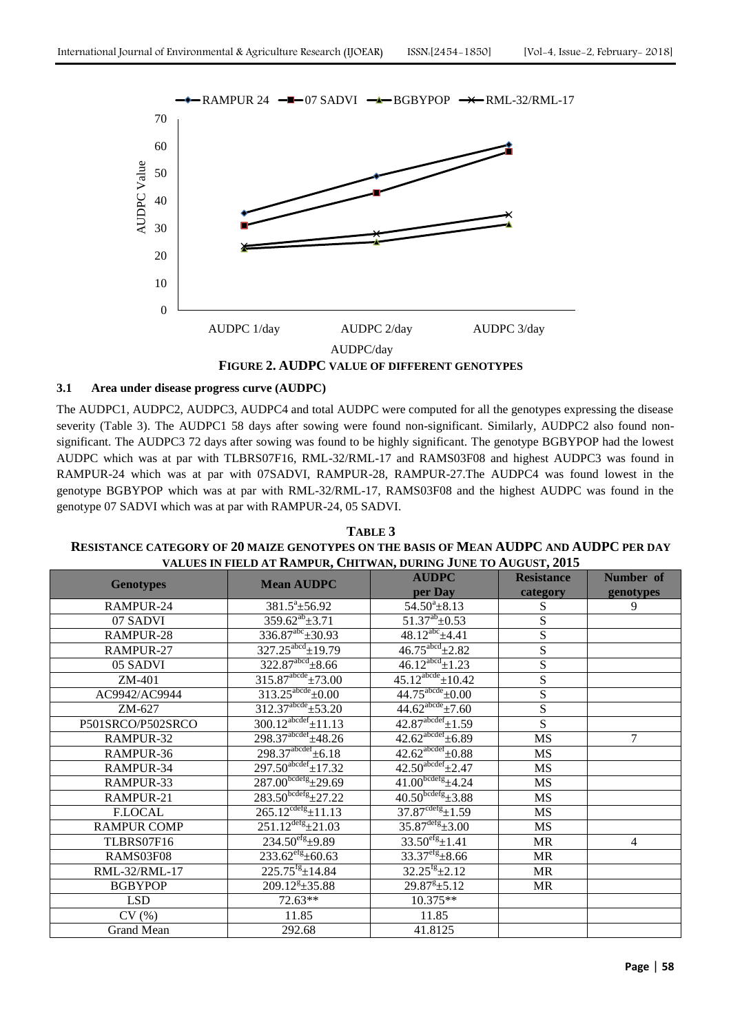

**FIGURE 2. AUDPC VALUE OF DIFFERENT GENOTYPES** 

## **3.1 Area under disease progress curve (AUDPC)**

The AUDPC1, AUDPC2, AUDPC3, AUDPC4 and total AUDPC were computed for all the genotypes expressing the disease severity (Table 3). The AUDPC1 58 days after sowing were found non-significant. Similarly, AUDPC2 also found nonsignificant. The AUDPC3 72 days after sowing was found to be highly significant. The genotype BGBYPOP had the lowest AUDPC which was at par with TLBRS07F16, RML-32/RML-17 and RAMS03F08 and highest AUDPC3 was found in RAMPUR-24 which was at par with 07SADVI, RAMPUR-28, RAMPUR-27.The AUDPC4 was found lowest in the genotype BGBYPOP which was at par with RML-32/RML-17, RAMS03F08 and the highest AUDPC was found in the genotype 07 SADVI which was at par with RAMPUR-24, 05 SADVI.

| TABLE 3                                                                                       |
|-----------------------------------------------------------------------------------------------|
| <b>RESISTANCE CATEGORY OF 20 MAIZE GENOTYPES ON THE BASIS OF MEAN AUDPC AND AUDPC PER DAY</b> |
| VALUES IN FIELD AT RAMPUR, CHITWAN, DURING JUNE TO AUGUST, 2015                               |

| VALUES IN FIELD AT INAMI UN, CHIT WAN, DUNING JUNE TO AUGUST, 2015 |                                     |                                      |                         |                |  |
|--------------------------------------------------------------------|-------------------------------------|--------------------------------------|-------------------------|----------------|--|
| <b>Genotypes</b>                                                   | <b>Mean AUDPC</b>                   | <b>AUDPC</b>                         | <b>Resistance</b>       | Number of      |  |
|                                                                    |                                     | per Day                              | category                | genotypes      |  |
| RAMPUR-24                                                          | $381.5^a \pm 56.92$                 | $54.50^{\circ}$ ± 8.13               | S                       | 9              |  |
| 07 SADVI                                                           | $\overline{359.62}^{ab} \pm 3.71$   | $51.37^{ab} \pm 0.53$                | $\overline{S}$          |                |  |
| RAMPUR-28                                                          | $336.87^{abc} \pm 30.93$            | $48.12^{abc}$ $\pm 4.41$             | S                       |                |  |
| RAMPUR-27                                                          | $327.25^{\text{abcd}} \pm 19.79$    | $46.75^{\text{abcd}}\pm 2.82$        | $\overline{S}$          |                |  |
| 05 SADVI                                                           | $322.87^{\text{abcd}}\pm8.66$       | $46.12^{abcd}$ ± 1.23                | $\overline{\mathbf{S}}$ |                |  |
| ZM-401                                                             | $315.87^{abcde} \pm 73.00$          | $45.12^{\text{abcde}} \pm 10.42$     | S                       |                |  |
| AC9942/AC9944                                                      | $313.25^{\text{abcde}}\pm 0.00$     | $44.75^{\text{abcde}} \pm 0.00$      | S                       |                |  |
| $ZM-627$                                                           | $312.37^{abcde} \pm 53.20$          | $44.62^{abcde} \pm 7.60$             | ${\bf S}$               |                |  |
| P501SRCO/P502SRCO                                                  | $300.12^{abcdef} \pm 11.13$         | $42.87^{\text{abcdef}} \pm 1.59$     | S                       |                |  |
| RAMPUR-32                                                          | $298.37^{abcdef} \pm 48.26$         | $42.62^{abcdef} \pm 6.89$            | MS                      | $\overline{7}$ |  |
| RAMPUR-36                                                          | $298.37^{abcdef} \pm 6.18$          | $42.62$ <sup>abcdef</sup> $\pm 0.88$ | <b>MS</b>               |                |  |
| RAMPUR-34                                                          | $297.50^{\text{abcdef}} \pm 17.32$  | $42.50^{\text{abcdef}}\pm 2.47$      | <b>MS</b>               |                |  |
| RAMPUR-33                                                          | $287.00^{bcdefg}$ $\pm$ 29.69       | $41.00^{bcdefg}$ $\pm 4.24$          | <b>MS</b>               |                |  |
| RAMPUR-21                                                          | $283.50^{bcdefg} \pm 27.22$         | $40.50^{bcdefg} \pm 3.88$            | <b>MS</b>               |                |  |
| <b>F.LOCAL</b>                                                     | $265.12^{\text{cdefg}} \pm 11.13$   | $37.87^{\text{cdefg}} \pm 1.59$      | <b>MS</b>               |                |  |
| <b>RAMPUR COMP</b>                                                 | $251.12^{\text{defg}}\text{+}21.03$ | $35.87^{\text{defg}} \pm 3.00$       | MS                      |                |  |
| TLBRS07F16                                                         | $234.50^{\text{eff}} \pm 9.89$      | $33.50^{\text{eff}} \pm 1.41$        | MR                      | 4              |  |
| RAMS03F08                                                          | $233.62^{efg} \pm 60.63$            | $33.37^{\text{eff}}\pm8.66$          | MR                      |                |  |
| RML-32/RML-17                                                      | $225.75$ <sup>fg</sup> $\pm$ 14.84  | $32.25^{fg} \pm 2.12$                | <b>MR</b>               |                |  |
| <b>BGBYPOP</b>                                                     | $209.12^{8} \pm 35.88$              | $29.87^{g} \pm 5.12$                 | MR                      |                |  |
| <b>LSD</b>                                                         | $72.63**$                           | 10.375**                             |                         |                |  |
| CV(%)                                                              | 11.85                               | 11.85                                |                         |                |  |
| Grand Mean                                                         | 292.68                              | 41.8125                              |                         |                |  |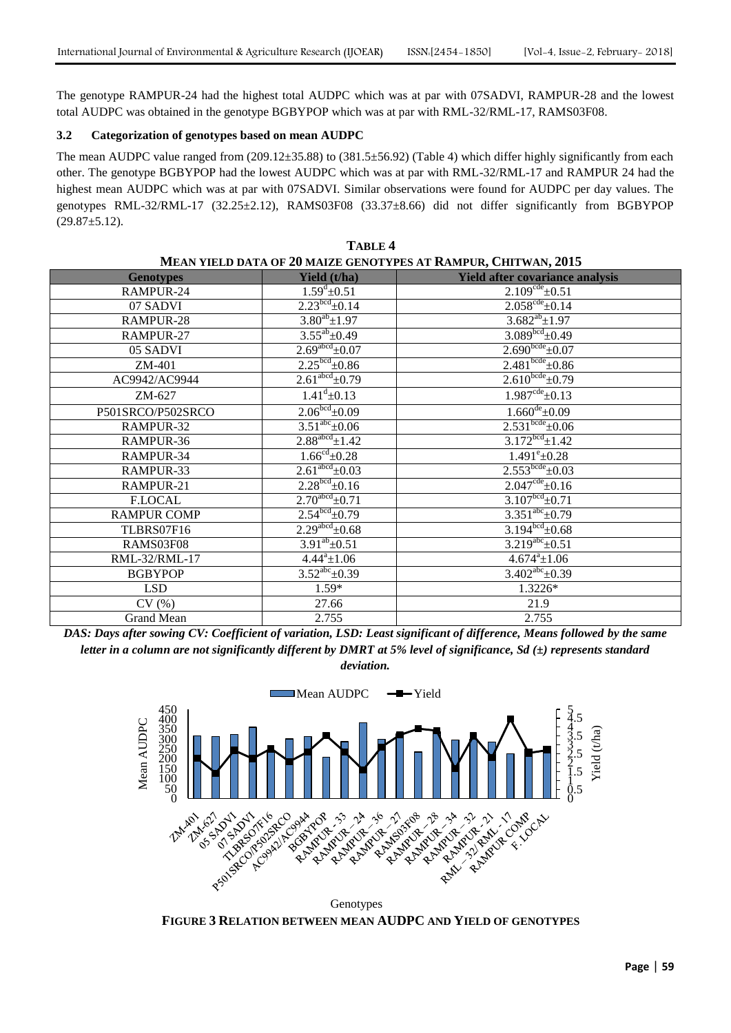The genotype RAMPUR-24 had the highest total AUDPC which was at par with 07SADVI, RAMPUR-28 and the lowest total AUDPC was obtained in the genotype BGBYPOP which was at par with RML-32/RML-17, RAMS03F08.

## **3.2 Categorization of genotypes based on mean AUDPC**

The mean AUDPC value ranged from (209.12±35.88) to (381.5±56.92) (Table 4) which differ highly significantly from each other. The genotype BGBYPOP had the lowest AUDPC which was at par with RML-32/RML-17 and RAMPUR 24 had the highest mean AUDPC which was at par with 07SADVI. Similar observations were found for AUDPC per day values. The genotypes RML-32/RML-17 (32.25±2.12), RAMS03F08 (33.37±8.66) did not differ significantly from BGBYPOP  $(29.87 \pm 5.12).$ 

| MEAN YIELD DATA OF 20 MAIZE GENOTYPES AT RAMPUR, CHITWAN, 2015 |                               |                                        |  |  |
|----------------------------------------------------------------|-------------------------------|----------------------------------------|--|--|
| <b>Genotypes</b>                                               | Yield (t/ha)                  | <b>Yield after covariance analysis</b> |  |  |
| RAMPUR-24                                                      | $1.59^{\text{d}} \pm 0.51$    | $2.109^{\text{cde}} \pm 0.51$          |  |  |
| 07 SADVI                                                       | $2.23bcd + 0.14$              | $2.058^{\text{cde}} \pm 0.14$          |  |  |
| RAMPUR-28                                                      | $3.80^{ab}$ ±1.97             | $3.682^{ab} \pm 1.97$                  |  |  |
| RAMPUR-27                                                      | $3.55^{ab} \pm 0.49$          | $3.089bcd \pm 0.49$                    |  |  |
| 05 SADVI                                                       | $2.69^{abcd}$ ±0.07           | $2.690^{bcde}$ ±0.07                   |  |  |
| ZM-401                                                         | $2.25bcd + 0.86$              | $2.481bcde \pm 0.86$                   |  |  |
| AC9942/AC9944                                                  | $2.61abcd \pm 0.79$           | $2.610^{bcde} \pm 0.79$                |  |  |
| ZM-627                                                         | $1.41^{\rm d}$ ±0.13          | $1.987^{\text{cde}} \pm 0.13$          |  |  |
| P501SRCO/P502SRCO                                              | $2.06bcd + 0.09$              | $1.660^{\text{de}} \pm 0.09$           |  |  |
| RAMPUR-32                                                      | $3.51^{abc}$ ±0.06            | $2.531bcde \pm 0.06$                   |  |  |
| RAMPUR-36                                                      | $2.88^{\text{abcd}}\pm 1.42$  | $3.172bcd \pm 1.42$                    |  |  |
| RAMPUR-34                                                      | $1.66^{\text{cd}} \pm 0.28$   | $1.491^{\rm e}$ ±0.28                  |  |  |
| RAMPUR-33                                                      | $2.61abcd \pm 0.03$           | $2.553^{\text{bcde}} \pm 0.03$         |  |  |
| RAMPUR-21                                                      | $2.28bcd + 0.16$              | $2.047^{\text{cde}} \pm 0.16$          |  |  |
| <b>F.LOCAL</b>                                                 | $2.70^{\text{abcd}} \pm 0.71$ | $3.107bcd \pm 0.71$                    |  |  |
| <b>RAMPUR COMP</b>                                             | $2.54bcd \pm 0.79$            | $3.351^{abc}$ ±0.79                    |  |  |
| TLBRS07F16                                                     | $2.29^{abcd}$ ±0.68           | $3.194bcd \pm 0.68$                    |  |  |
| RAMS03F08                                                      | $3.91^{ab} \pm 0.51$          | $3.219^{abc}$ ± 0.51                   |  |  |
| RML-32/RML-17                                                  | $4.44^a \pm 1.06$             | $4.674^a \pm 1.06$                     |  |  |
| <b>BGBYPOP</b>                                                 | $3.52^{abc} \pm 0.39$         | $3.402^{abc} \pm 0.39$                 |  |  |
| <b>LSD</b>                                                     | $1.59*$                       | 1.3226*                                |  |  |
| CV(%)                                                          | 27.66                         | 21.9                                   |  |  |
| Grand Mean                                                     | 2.755                         | 2.755                                  |  |  |

**TABLE 4**

*DAS: Days after sowing CV: Coefficient of variation, LSD: Least significant of difference, Means followed by the same letter in a column are not significantly different by DMRT at 5% level of significance, Sd (±) represents standard deviation.*



**FIGURE 3 RELATION BETWEEN MEAN AUDPC AND YIELD OF GENOTYPES**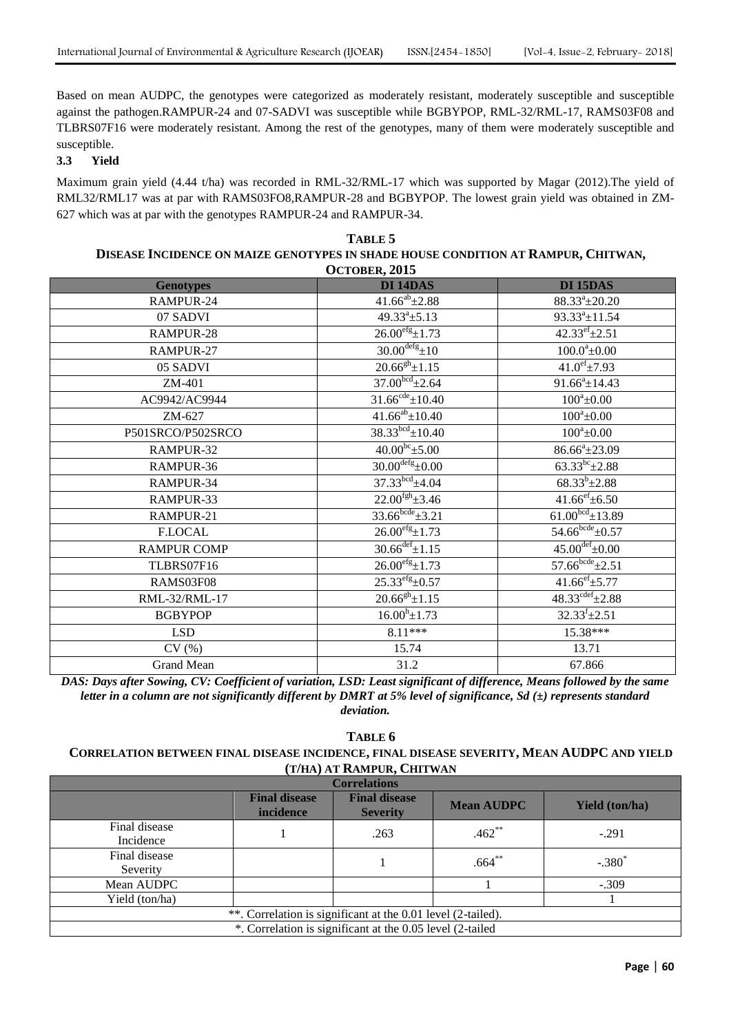Based on mean AUDPC, the genotypes were categorized as moderately resistant, moderately susceptible and susceptible against the pathogen.RAMPUR-24 and 07-SADVI was susceptible while BGBYPOP, RML-32/RML-17, RAMS03F08 and TLBRS07F16 were moderately resistant. Among the rest of the genotypes, many of them were moderately susceptible and susceptible.

## **3.3 Yield**

Maximum grain yield (4.44 t/ha) was recorded in RML-32/RML-17 which was supported by Magar (2012).The yield of RML32/RML17 was at par with RAMS03FO8,RAMPUR-28 and BGBYPOP. The lowest grain yield was obtained in ZM-627 which was at par with the genotypes RAMPUR-24 and RAMPUR-34.

| TABLE 5                                                                           |
|-----------------------------------------------------------------------------------|
| DISEASE INCIDENCE ON MAIZE GENOTYPES IN SHADE HOUSE CONDITION AT RAMPUR, CHITWAN, |
| OCTOBER 2015                                                                      |

| OUTODER, AVIA      |                                |                                |  |  |  |
|--------------------|--------------------------------|--------------------------------|--|--|--|
| <b>Genotypes</b>   | DI 14DAS                       | DI 15DAS                       |  |  |  |
| RAMPUR-24          | $41.66^{ab} \pm 2.88$          | $88.33^{\circ}$ ± 20.20        |  |  |  |
| 07 SADVI           | $49.33^a \pm 5.13$             | $93.33^a \pm 11.54$            |  |  |  |
| RAMPUR-28          | $26.00^{\text{efg}} \pm 1.73$  | $42.33^{\text{ef}}\pm 2.51$    |  |  |  |
| RAMPUR-27          | $30.00^{\text{defg}} \pm 10$   | $100.0^a \pm 0.00$             |  |  |  |
| 05 SADVI           | $20.66^{gh}$ ±1.15             | $41.0^{\text{ef}}$ ±7.93       |  |  |  |
| ZM-401             | $37.00bcd \pm 2.64$            | $91.66^a \pm 14.43$            |  |  |  |
| AC9942/AC9944      | $31.66^{\text{cde}} \pm 10.40$ | $100^a \pm 0.00$               |  |  |  |
| ZM-627             | $41.66^{ab} \pm 10.40$         | $100^a \pm 0.00$               |  |  |  |
| P501SRCO/P502SRCO  | $38.33bcd \pm 10.40$           | $100^a \pm 0.00$               |  |  |  |
| RAMPUR-32          | $40.00^{bc}$ ± 5.00            | $86.66^a \pm 23.09$            |  |  |  |
| RAMPUR-36          | $30.00^{defg} \pm 0.00$        | $63.33^{bc} \pm 2.88$          |  |  |  |
| RAMPUR-34          | 37.33 <sup>bcd</sup> ±4.04     | $68.33^{b} \pm 2.88$           |  |  |  |
| RAMPUR-33          | $22.00^{fgh} \pm 3.46$         | $41.66^{\rm ef}$ ±6.50         |  |  |  |
| RAMPUR-21          | $33.66^{bcde} \pm 3.21$        | $61.00bcd \pm 13.89$           |  |  |  |
| <b>F.LOCAL</b>     | $26.00^{efg}$ $\pm 1.73$       | $54.66^{\text{bcde}} \pm 0.57$ |  |  |  |
| <b>RAMPUR COMP</b> | $30.66^{\text{def}} \pm 1.15$  | $45.00^{\text{def}} \pm 0.00$  |  |  |  |
| TLBRS07F16         | $26.00^{\text{efg}} \pm 1.73$  | $57.66^{bcde} \pm 2.51$        |  |  |  |
| RAMS03F08          | $25.33^{\text{efg}}\pm 0.57$   | $41.66^{\rm ef} \pm 5.77$      |  |  |  |
| RML-32/RML-17      | $20.66^{gh}$ ±1.15             | $48.33^{\text{cdef}} \pm 2.88$ |  |  |  |
| <b>BGBYPOP</b>     | $16.00^{\rm h}$ ±1.73          | $32.33^{f} \pm 2.51$           |  |  |  |
| <b>LSD</b>         | 8.11***                        | 15.38***                       |  |  |  |
| CV(%)              | 15.74                          | 13.71                          |  |  |  |
| <b>Grand Mean</b>  | 31.2                           | 67.866                         |  |  |  |

*DAS: Days after Sowing, CV: Coefficient of variation, LSD: Least significant of difference, Means followed by the same letter in a column are not significantly different by DMRT at 5% level of significance, Sd (±) represents standard deviation.*

## **TABLE 6**

#### **CORRELATION BETWEEN FINAL DISEASE INCIDENCE, FINAL DISEASE SEVERITY, MEAN AUDPC AND YIELD (T/HA) AT RAMPUR, CHITWAN**

| <b>Correlations</b>                                          |                                          |                                         |                   |                       |  |
|--------------------------------------------------------------|------------------------------------------|-----------------------------------------|-------------------|-----------------------|--|
|                                                              | <b>Final disease</b><br><i>incidence</i> | <b>Final disease</b><br><b>Severity</b> | <b>Mean AUDPC</b> | <b>Yield</b> (ton/ha) |  |
| Final disease<br>Incidence                                   |                                          | .263                                    | $.462**$          | $-.291$               |  |
| Final disease<br>Severity                                    |                                          |                                         | $.664***$         | $-.380$ <sup>*</sup>  |  |
| Mean AUDPC                                                   |                                          |                                         |                   | $-.309$               |  |
| Yield (ton/ha)                                               |                                          |                                         |                   |                       |  |
| **. Correlation is significant at the 0.01 level (2-tailed). |                                          |                                         |                   |                       |  |
| *. Correlation is significant at the 0.05 level (2-tailed    |                                          |                                         |                   |                       |  |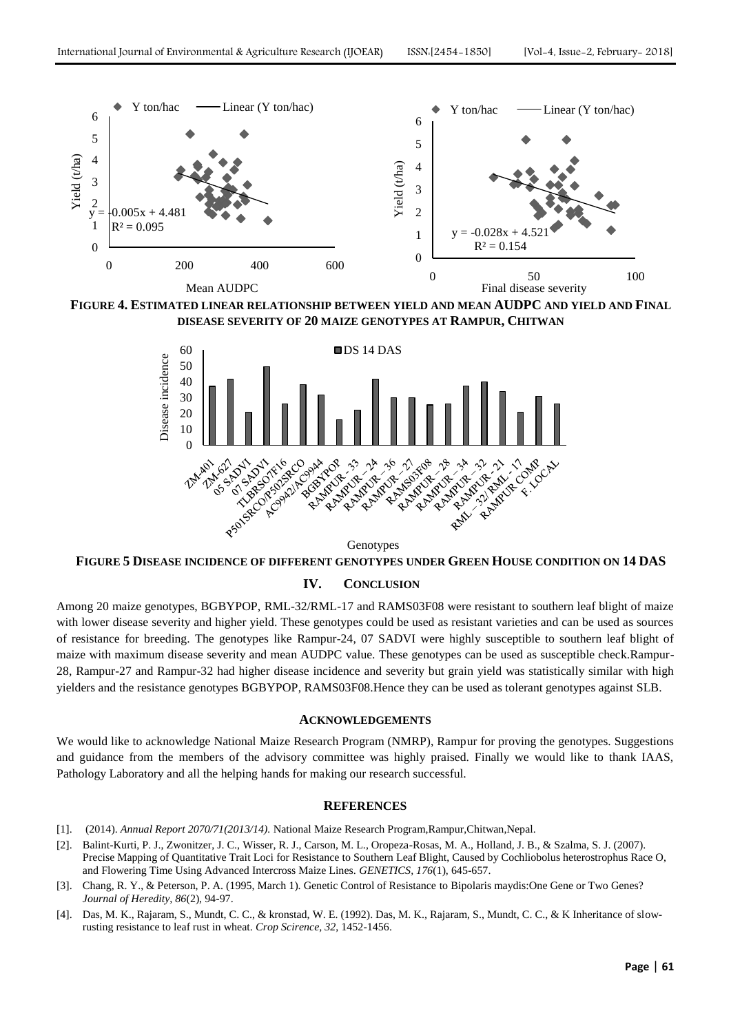

**FIGURE 4. ESTIMATED LINEAR RELATIONSHIP BETWEEN YIELD AND MEAN AUDPC AND YIELD AND FINAL DISEASE SEVERITY OF 20 MAIZE GENOTYPES AT RAMPUR, CHITWAN**



Genotypes

#### **FIGURE 5 DISEASE INCIDENCE OF DIFFERENT GENOTYPES UNDER GREEN HOUSE CONDITION ON 14 DAS**

## **IV. CONCLUSION**

Among 20 maize genotypes, BGBYPOP, RML-32/RML-17 and RAMS03F08 were resistant to southern leaf blight of maize with lower disease severity and higher yield. These genotypes could be used as resistant varieties and can be used as sources of resistance for breeding. The genotypes like Rampur-24, 07 SADVI were highly susceptible to southern leaf blight of maize with maximum disease severity and mean AUDPC value. These genotypes can be used as susceptible check.Rampur-28, Rampur-27 and Rampur-32 had higher disease incidence and severity but grain yield was statistically similar with high yielders and the resistance genotypes BGBYPOP, RAMS03F08.Hence they can be used as tolerant genotypes against SLB.

#### **ACKNOWLEDGEMENTS**

We would like to acknowledge National Maize Research Program (NMRP), Rampur for proving the genotypes. Suggestions and guidance from the members of the advisory committee was highly praised. Finally we would like to thank IAAS, Pathology Laboratory and all the helping hands for making our research successful.

## **REFERENCES**

- [1]. (2014). *Annual Report 2070/71(2013/14).* National Maize Research Program,Rampur,Chitwan,Nepal.
- [2]. Balint-Kurti, P. J., Zwonitzer, J. C., Wisser, R. J., Carson, M. L., Oropeza-Rosas, M. A., Holland, J. B., & Szalma, S. J. (2007). Precise Mapping of Quantitative Trait Loci for Resistance to Southern Leaf Blight, Caused by Cochliobolus heterostrophus Race O, and Flowering Time Using Advanced Intercross Maize Lines. *GENETICS, 176*(1), 645-657.
- [3]. Chang, R. Y., & Peterson, P. A. (1995, March 1). Genetic Control of Resistance to Bipolaris maydis:One Gene or Two Genes? *Journal of Heredity, 86*(2), 94-97.
- [4]. Das, M. K., Rajaram, S., Mundt, C. C., & kronstad, W. E. (1992). Das, M. K., Rajaram, S., Mundt, C. C., & K Inheritance of slowrusting resistance to leaf rust in wheat. *Crop Scirence, 32*, 1452-1456.